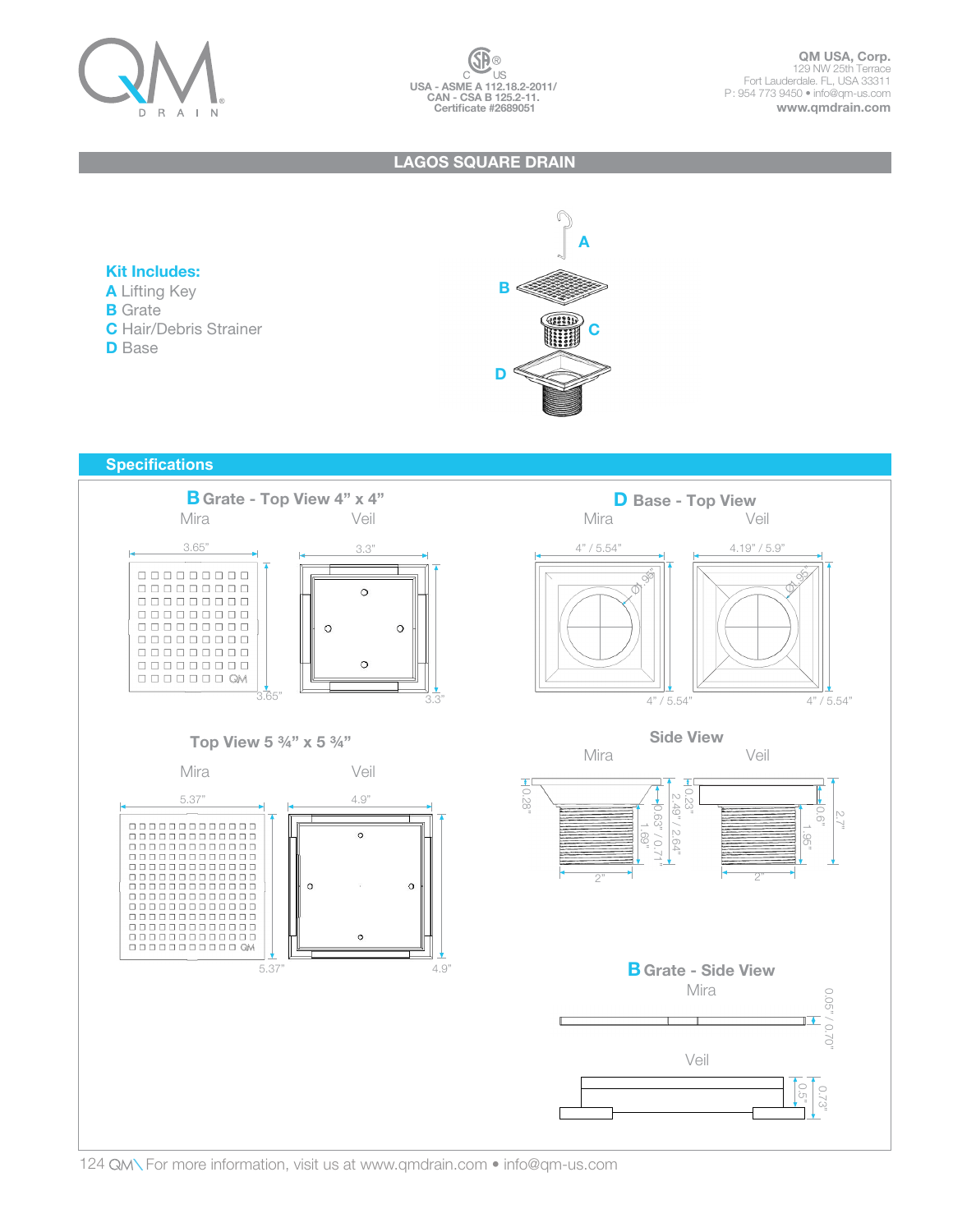

### LAGOS SQUARE DRAIN

## Kit Includes:

- A Lifting Key
- **B** Grate
- C Hair/Debris Strainer
- **D** Base



## **Specifications**



# Top View 5 ¾" x 5 ¾"